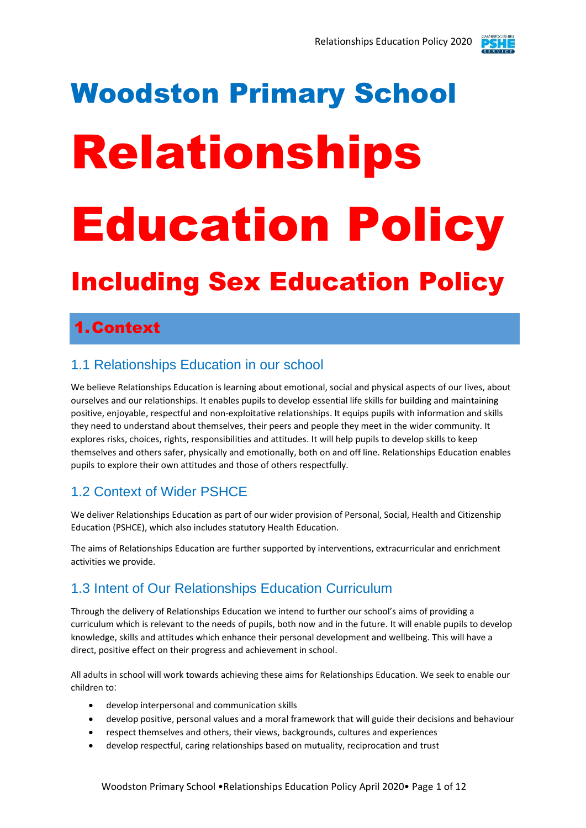

# Woodston Primary School Relationships Education Policy

# Including Sex Education Policy

# 1.Context

#### 1.1 Relationships Education in our school

We believe Relationships Education is learning about emotional, social and physical aspects of our lives, about ourselves and our relationships. It enables pupils to develop essential life skills for building and maintaining positive, enjoyable, respectful and non-exploitative relationships. It equips pupils with information and skills they need to understand about themselves, their peers and people they meet in the wider community. It explores risks, choices, rights, responsibilities and attitudes. It will help pupils to develop skills to keep themselves and others safer, physically and emotionally, both on and off line. Relationships Education enables pupils to explore their own attitudes and those of others respectfully.

#### 1.2 Context of Wider PSHCE

We deliver Relationships Education as part of our wider provision of Personal, Social, Health and Citizenship Education (PSHCE), which also includes statutory Health Education.

The aims of Relationships Education are further supported by interventions, extracurricular and enrichment activities we provide.

#### 1.3 Intent of Our Relationships Education Curriculum

Through the delivery of Relationships Education we intend to further our school's aims of providing a curriculum which is relevant to the needs of pupils, both now and in the future. It will enable pupils to develop knowledge, skills and attitudes which enhance their personal development and wellbeing. This will have a direct, positive effect on their progress and achievement in school.

All adults in school will work towards achieving these aims for Relationships Education. We seek to enable our children to:

- develop interpersonal and communication skills
- develop positive, personal values and a moral framework that will guide their decisions and behaviour
- respect themselves and others, their views, backgrounds, cultures and experiences
- develop respectful, caring relationships based on mutuality, reciprocation and trust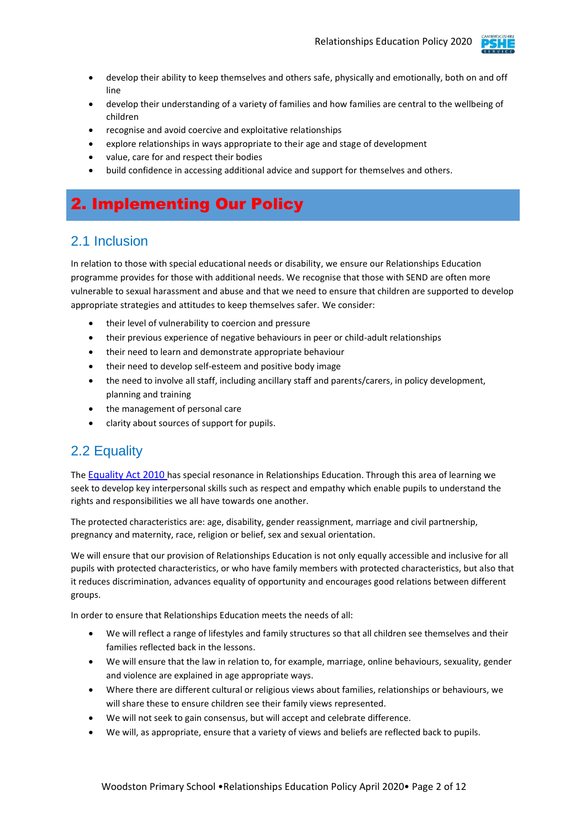

- develop their ability to keep themselves and others safe, physically and emotionally, both on and off line
- develop their understanding of a variety of families and how families are central to the wellbeing of children
- recognise and avoid coercive and exploitative relationships
- explore relationships in ways appropriate to their age and stage of development
- value, care for and respect their bodies
- build confidence in accessing additional advice and support for themselves and others.

# 2. Implementing Our Policy

#### 2.1 Inclusion

In relation to those with special educational needs or disability, we ensure our Relationships Education programme provides for those with additional needs. We recognise that those with SEND are often more vulnerable to sexual harassment and abuse and that we need to ensure that children are supported to develop appropriate strategies and attitudes to keep themselves safer. We consider:

- their level of vulnerability to coercion and pressure
- their previous experience of negative behaviours in peer or child-adult relationships
- their need to learn and demonstrate appropriate behaviour
- their need to develop self-esteem and positive body image
- the need to involve all staff, including ancillary staff and parents/carers, in policy development, planning and training
- the management of personal care
- clarity about sources of support for pupils.

#### 2.2 Equality

The [Equality Act 2010](http://www.legislation.gov.uk/ukpga/2010/15/contents) has special resonance in Relationships Education. Through this area of learning we seek to develop key interpersonal skills such as respect and empathy which enable pupils to understand the rights and responsibilities we all have towards one another.

The protected characteristics are: age, disability, gender reassignment, marriage and civil partnership, pregnancy and maternity, race, religion or belief, sex and sexual orientation.

We will ensure that our provision of Relationships Education is not only equally accessible and inclusive for all pupils with protected characteristics, or who have family members with protected characteristics, but also that it reduces discrimination, advances equality of opportunity and encourages good relations between different groups.

In order to ensure that Relationships Education meets the needs of all:

- We will reflect a range of lifestyles and family structures so that all children see themselves and their families reflected back in the lessons.
- We will ensure that the law in relation to, for example, marriage, online behaviours, sexuality, gender and violence are explained in age appropriate ways.
- Where there are different cultural or religious views about families, relationships or behaviours, we will share these to ensure children see their family views represented.
- We will not seek to gain consensus, but will accept and celebrate difference.
- We will, as appropriate, ensure that a variety of views and beliefs are reflected back to pupils.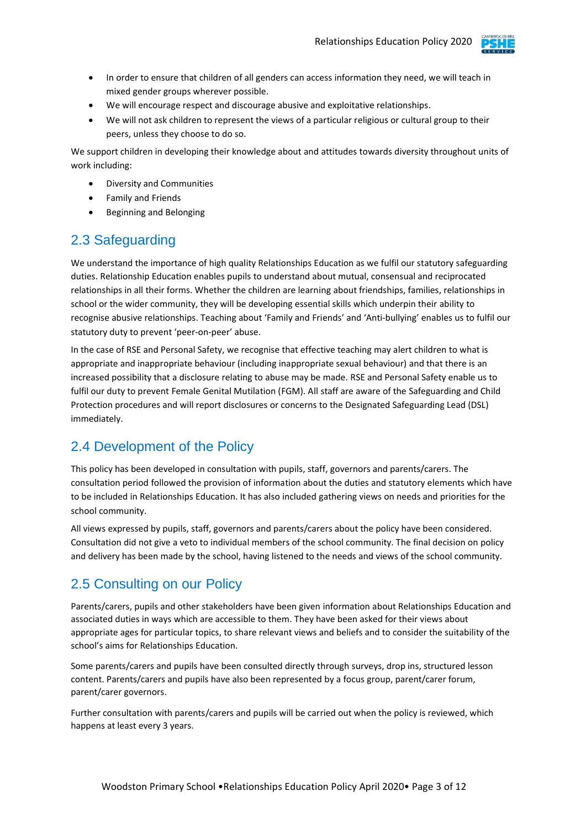

- In order to ensure that children of all genders can access information they need, we will teach in mixed gender groups wherever possible.
- We will encourage respect and discourage abusive and exploitative relationships.
- We will not ask children to represent the views of a particular religious or cultural group to their peers, unless they choose to do so.

We support children in developing their knowledge about and attitudes towards diversity throughout units of work including:

- Diversity and Communities
- Family and Friends
- Beginning and Belonging

#### 2.3 Safeguarding

We understand the importance of high quality Relationships Education as we fulfil our statutory safeguarding duties. Relationship Education enables pupils to understand about mutual, consensual and reciprocated relationships in all their forms. Whether the children are learning about friendships, families, relationships in school or the wider community, they will be developing essential skills which underpin their ability to recognise abusive relationships. Teaching about 'Family and Friends' and 'Anti-bullying' enables us to fulfil our statutory duty to prevent 'peer-on-peer' abuse.

In the case of RSE and Personal Safety, we recognise that effective teaching may alert children to what is appropriate and inappropriate behaviour (including inappropriate sexual behaviour) and that there is an increased possibility that a disclosure relating to abuse may be made. RSE and Personal Safety enable us to fulfil our duty to prevent Female Genital Mutilation (FGM). All staff are aware of the Safeguarding and Child Protection procedures and will report disclosures or concerns to the Designated Safeguarding Lead (DSL) immediately.

#### 2.4 Development of the Policy

This policy has been developed in consultation with pupils, staff, governors and parents/carers. The consultation period followed the provision of information about the duties and statutory elements which have to be included in Relationships Education. It has also included gathering views on needs and priorities for the school community.

All views expressed by pupils, staff, governors and parents/carers about the policy have been considered. Consultation did not give a veto to individual members of the school community. The final decision on policy and delivery has been made by the school, having listened to the needs and views of the school community.

#### 2.5 Consulting on our Policy

Parents/carers, pupils and other stakeholders have been given information about Relationships Education and associated duties in ways which are accessible to them. They have been asked for their views about appropriate ages for particular topics, to share relevant views and beliefs and to consider the suitability of the school's aims for Relationships Education.

Some parents/carers and pupils have been consulted directly through surveys, drop ins, structured lesson content. Parents/carers and pupils have also been represented by a focus group, parent/carer forum, parent/carer governors.

Further consultation with parents/carers and pupils will be carried out when the policy is reviewed, which happens at least every 3 years.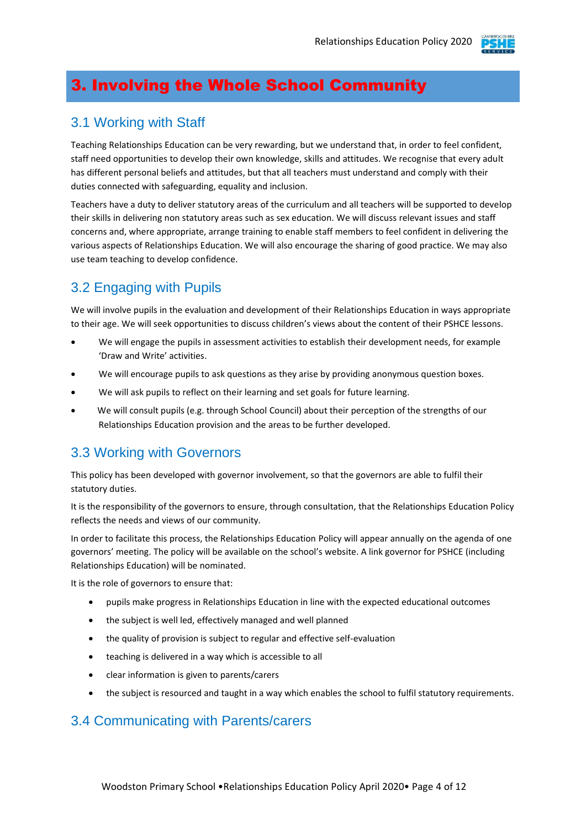

# 3. Involving the Whole School Community

#### 3.1 Working with Staff

Teaching Relationships Education can be very rewarding, but we understand that, in order to feel confident, staff need opportunities to develop their own knowledge, skills and attitudes. We recognise that every adult has different personal beliefs and attitudes, but that all teachers must understand and comply with their duties connected with safeguarding, equality and inclusion.

Teachers have a duty to deliver statutory areas of the curriculum and all teachers will be supported to develop their skills in delivering non statutory areas such as sex education. We will discuss relevant issues and staff concerns and, where appropriate, arrange training to enable staff members to feel confident in delivering the various aspects of Relationships Education. We will also encourage the sharing of good practice. We may also use team teaching to develop confidence.

#### 3.2 Engaging with Pupils

We will involve pupils in the evaluation and development of their Relationships Education in ways appropriate to their age. We will seek opportunities to discuss children's views about the content of their PSHCE lessons.

- We will engage the pupils in assessment activities to establish their development needs, for example 'Draw and Write' activities.
- We will encourage pupils to ask questions as they arise by providing anonymous question boxes.
- We will ask pupils to reflect on their learning and set goals for future learning.
- We will consult pupils (e.g. through School Council) about their perception of the strengths of our Relationships Education provision and the areas to be further developed.

#### 3.3 Working with Governors

This policy has been developed with governor involvement, so that the governors are able to fulfil their statutory duties.

It is the responsibility of the governors to ensure, through consultation, that the Relationships Education Policy reflects the needs and views of our community.

In order to facilitate this process, the Relationships Education Policy will appear annually on the agenda of one governors' meeting. The policy will be available on the school's website. A link governor for PSHCE (including Relationships Education) will be nominated.

It is the role of governors to ensure that:

- pupils make progress in Relationships Education in line with the expected educational outcomes
- the subject is well led, effectively managed and well planned
- the quality of provision is subject to regular and effective self-evaluation
- teaching is delivered in a way which is accessible to all
- clear information is given to parents/carers
- the subject is resourced and taught in a way which enables the school to fulfil statutory requirements.

#### 3.4 Communicating with Parents/carers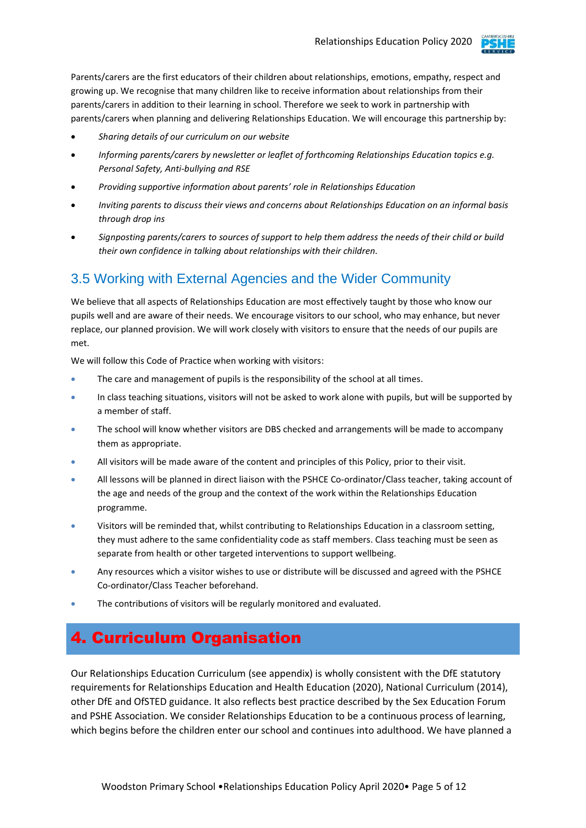

Parents/carers are the first educators of their children about relationships, emotions, empathy, respect and growing up. We recognise that many children like to receive information about relationships from their parents/carers in addition to their learning in school. Therefore we seek to work in partnership with parents/carers when planning and delivering Relationships Education. We will encourage this partnership by:

- *Sharing details of our curriculum on our website*
- *Informing parents/carers by newsletter or leaflet of forthcoming Relationships Education topics e.g. Personal Safety, Anti-bullying and RSE*
- *Providing supportive information about parents' role in Relationships Education*
- *Inviting parents to discuss their views and concerns about Relationships Education on an informal basis through drop ins*
- *Signposting parents/carers to sources of support to help them address the needs of their child or build their own confidence in talking about relationships with their children.*

#### 3.5 Working with External Agencies and the Wider Community

We believe that all aspects of Relationships Education are most effectively taught by those who know our pupils well and are aware of their needs. We encourage visitors to our school, who may enhance, but never replace, our planned provision. We will work closely with visitors to ensure that the needs of our pupils are met.

We will follow this Code of Practice when working with visitors:

- The care and management of pupils is the responsibility of the school at all times.
- In class teaching situations, visitors will not be asked to work alone with pupils, but will be supported by a member of staff.
- The school will know whether visitors are DBS checked and arrangements will be made to accompany them as appropriate.
- All visitors will be made aware of the content and principles of this Policy, prior to their visit.
- All lessons will be planned in direct liaison with the PSHCE Co-ordinator/Class teacher, taking account of the age and needs of the group and the context of the work within the Relationships Education programme.
- Visitors will be reminded that, whilst contributing to Relationships Education in a classroom setting, they must adhere to the same confidentiality code as staff members. Class teaching must be seen as separate from health or other targeted interventions to support wellbeing.
- Any resources which a visitor wishes to use or distribute will be discussed and agreed with the PSHCE Co-ordinator/Class Teacher beforehand.
- The contributions of visitors will be regularly monitored and evaluated.

# 4. Curriculum Organisation

Our Relationships Education Curriculum (see appendix) is wholly consistent with the DfE statutory requirements for Relationships Education and Health Education (2020), National Curriculum (2014), other DfE and OfSTED guidance. It also reflects best practice described by the Sex Education Forum and PSHE Association. We consider Relationships Education to be a continuous process of learning, which begins before the children enter our school and continues into adulthood. We have planned a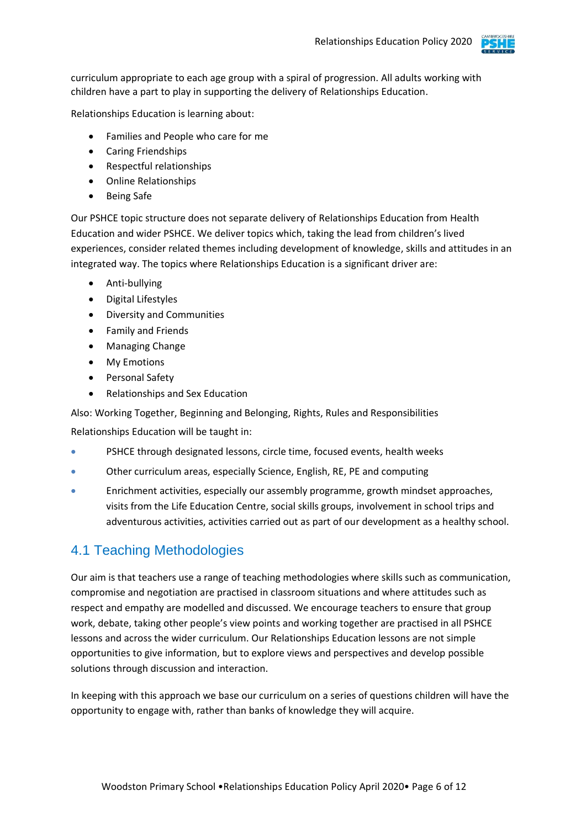

curriculum appropriate to each age group with a spiral of progression. All adults working with children have a part to play in supporting the delivery of Relationships Education.

Relationships Education is learning about:

- Families and People who care for me
- Caring Friendships
- Respectful relationships
- Online Relationships
- Being Safe

Our PSHCE topic structure does not separate delivery of Relationships Education from Health Education and wider PSHCE. We deliver topics which, taking the lead from children's lived experiences, consider related themes including development of knowledge, skills and attitudes in an integrated way. The topics where Relationships Education is a significant driver are:

- Anti-bullying
- Digital Lifestyles
- Diversity and Communities
- Family and Friends
- Managing Change
- My Emotions
- Personal Safety
- Relationships and Sex Education

Also: Working Together, Beginning and Belonging, Rights, Rules and Responsibilities

Relationships Education will be taught in:

- PSHCE through designated lessons, circle time, focused events, health weeks
- Other curriculum areas, especially Science, English, RE, PE and computing
- Enrichment activities, especially our assembly programme, growth mindset approaches, visits from the Life Education Centre, social skills groups, involvement in school trips and adventurous activities, activities carried out as part of our development as a healthy school.

#### 4.1 Teaching Methodologies

Our aim is that teachers use a range of teaching methodologies where skills such as communication, compromise and negotiation are practised in classroom situations and where attitudes such as respect and empathy are modelled and discussed. We encourage teachers to ensure that group work, debate, taking other people's view points and working together are practised in all PSHCE lessons and across the wider curriculum. Our Relationships Education lessons are not simple opportunities to give information, but to explore views and perspectives and develop possible solutions through discussion and interaction.

In keeping with this approach we base our curriculum on a series of questions children will have the opportunity to engage with, rather than banks of knowledge they will acquire.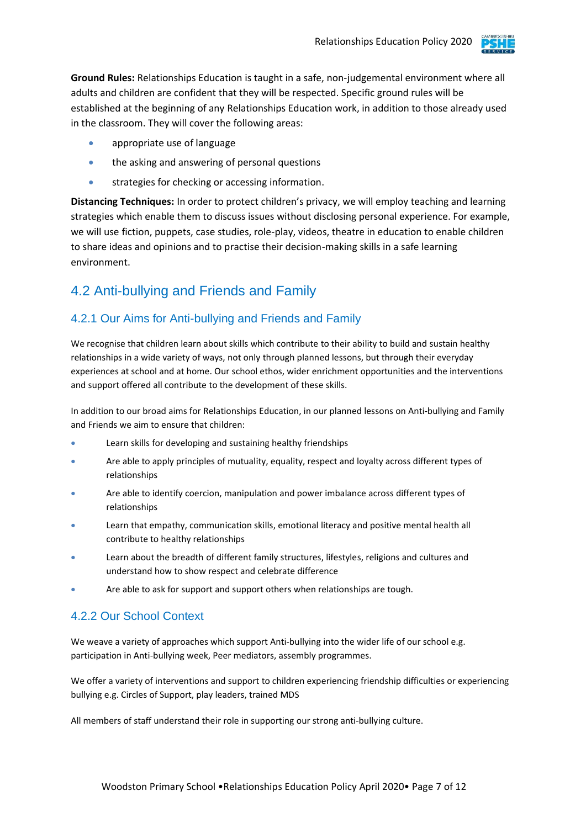

**Ground Rules:** Relationships Education is taught in a safe, non-judgemental environment where all adults and children are confident that they will be respected. Specific ground rules will be established at the beginning of any Relationships Education work, in addition to those already used in the classroom. They will cover the following areas:

- appropriate use of language
- the asking and answering of personal questions
- strategies for checking or accessing information.

**Distancing Techniques:** In order to protect children's privacy, we will employ teaching and learning strategies which enable them to discuss issues without disclosing personal experience. For example, we will use fiction, puppets, case studies, role-play, videos, theatre in education to enable children to share ideas and opinions and to practise their decision-making skills in a safe learning environment.

#### 4.2 Anti-bullying and Friends and Family

#### 4.2.1 Our Aims for Anti-bullying and Friends and Family

We recognise that children learn about skills which contribute to their ability to build and sustain healthy relationships in a wide variety of ways, not only through planned lessons, but through their everyday experiences at school and at home. Our school ethos, wider enrichment opportunities and the interventions and support offered all contribute to the development of these skills.

In addition to our broad aims for Relationships Education, in our planned lessons on Anti-bullying and Family and Friends we aim to ensure that children:

- Learn skills for developing and sustaining healthy friendships
- Are able to apply principles of mutuality, equality, respect and loyalty across different types of relationships
- Are able to identify coercion, manipulation and power imbalance across different types of relationships
- Learn that empathy, communication skills, emotional literacy and positive mental health all contribute to healthy relationships
- Learn about the breadth of different family structures, lifestyles, religions and cultures and understand how to show respect and celebrate difference
- Are able to ask for support and support others when relationships are tough.

#### 4.2.2 Our School Context

We weave a variety of approaches which support Anti-bullying into the wider life of our school e.g. participation in Anti-bullying week, Peer mediators, assembly programmes.

We offer a variety of interventions and support to children experiencing friendship difficulties or experiencing bullying e.g. Circles of Support, play leaders, trained MDS

All members of staff understand their role in supporting our strong anti-bullying culture.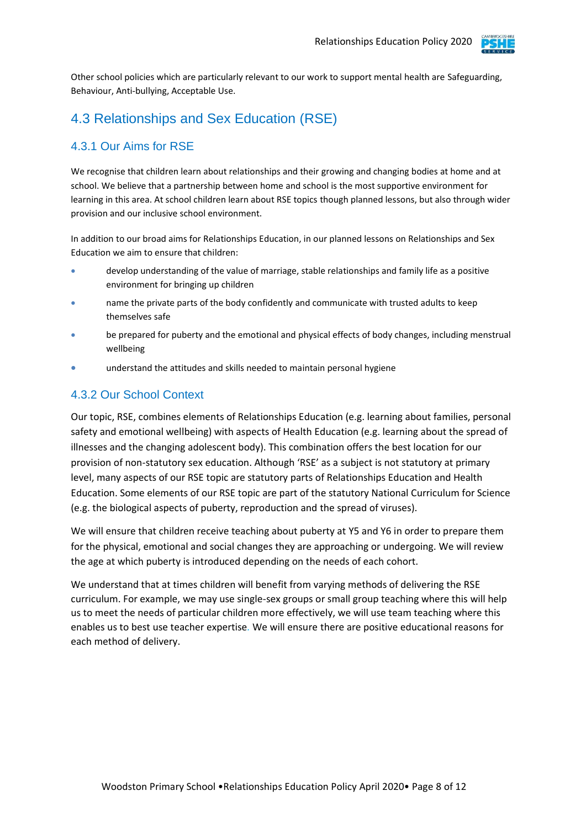

Other school policies which are particularly relevant to our work to support mental health are Safeguarding, Behaviour, Anti-bullying, Acceptable Use.

#### 4.3 Relationships and Sex Education (RSE)

#### 4.3.1 Our Aims for RSE

We recognise that children learn about relationships and their growing and changing bodies at home and at school. We believe that a partnership between home and school is the most supportive environment for learning in this area. At school children learn about RSE topics though planned lessons, but also through wider provision and our inclusive school environment.

In addition to our broad aims for Relationships Education, in our planned lessons on Relationships and Sex Education we aim to ensure that children:

- develop understanding of the value of marriage, stable relationships and family life as a positive environment for bringing up children
- name the private parts of the body confidently and communicate with trusted adults to keep themselves safe
- be prepared for puberty and the emotional and physical effects of body changes, including menstrual wellbeing
- understand the attitudes and skills needed to maintain personal hygiene

#### 4.3.2 Our School Context

Our topic, RSE, combines elements of Relationships Education (e.g. learning about families, personal safety and emotional wellbeing) with aspects of Health Education (e.g. learning about the spread of illnesses and the changing adolescent body). This combination offers the best location for our provision of non-statutory sex education. Although 'RSE' as a subject is not statutory at primary level, many aspects of our RSE topic are statutory parts of Relationships Education and Health Education. Some elements of our RSE topic are part of the statutory National Curriculum for Science (e.g. the biological aspects of puberty, reproduction and the spread of viruses).

We will ensure that children receive teaching about puberty at Y5 and Y6 in order to prepare them for the physical, emotional and social changes they are approaching or undergoing. We will review the age at which puberty is introduced depending on the needs of each cohort.

We understand that at times children will benefit from varying methods of delivering the RSE curriculum. For example, we may use single-sex groups or small group teaching where this will help us to meet the needs of particular children more effectively, we will use team teaching where this enables us to best use teacher expertise*.* We will ensure there are positive educational reasons for each method of delivery.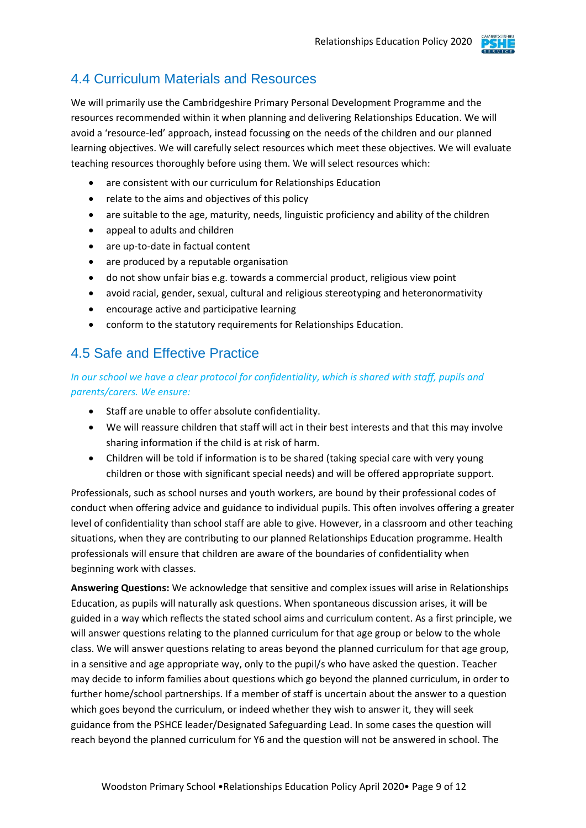

#### 4.4 Curriculum Materials and Resources

We will primarily use the Cambridgeshire Primary Personal Development Programme and the resources recommended within it when planning and delivering Relationships Education. We will avoid a 'resource-led' approach, instead focussing on the needs of the children and our planned learning objectives. We will carefully select resources which meet these objectives. We will evaluate teaching resources thoroughly before using them. We will select resources which:

- are consistent with our curriculum for Relationships Education
- relate to the aims and objectives of this policy
- are suitable to the age, maturity, needs, linguistic proficiency and ability of the children
- appeal to adults and children
- are up-to-date in factual content
- are produced by a reputable organisation
- do not show unfair bias e.g. towards a commercial product, religious view point
- avoid racial, gender, sexual, cultural and religious stereotyping and heteronormativity
- encourage active and participative learning
- conform to the statutory requirements for Relationships Education.

#### 4.5 Safe and Effective Practice

#### *In our school we have a clear protocol for confidentiality, which is shared with staff, pupils and parents/carers. We ensure:*

- Staff are unable to offer absolute confidentiality.
- We will reassure children that staff will act in their best interests and that this may involve sharing information if the child is at risk of harm.
- Children will be told if information is to be shared (taking special care with very young children or those with significant special needs) and will be offered appropriate support.

Professionals, such as school nurses and youth workers, are bound by their professional codes of conduct when offering advice and guidance to individual pupils. This often involves offering a greater level of confidentiality than school staff are able to give. However, in a classroom and other teaching situations, when they are contributing to our planned Relationships Education programme. Health professionals will ensure that children are aware of the boundaries of confidentiality when beginning work with classes.

**Answering Questions:** We acknowledge that sensitive and complex issues will arise in Relationships Education, as pupils will naturally ask questions. When spontaneous discussion arises, it will be guided in a way which reflects the stated school aims and curriculum content. As a first principle, we will answer questions relating to the planned curriculum for that age group or below to the whole class. We will answer questions relating to areas beyond the planned curriculum for that age group, in a sensitive and age appropriate way, only to the pupil/s who have asked the question. Teacher may decide to inform families about questions which go beyond the planned curriculum, in order to further home/school partnerships. If a member of staff is uncertain about the answer to a question which goes beyond the curriculum, or indeed whether they wish to answer it, they will seek guidance from the PSHCE leader/Designated Safeguarding Lead. In some cases the question will reach beyond the planned curriculum for Y6 and the question will not be answered in school. The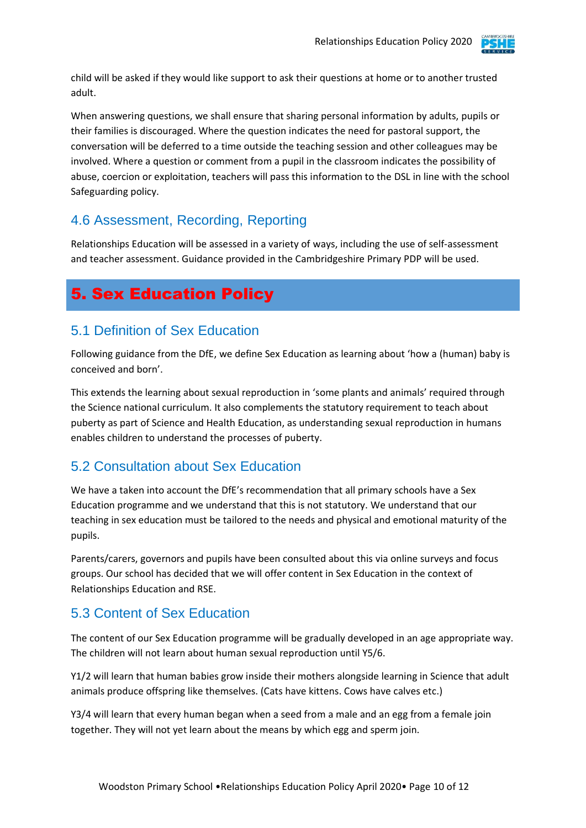

child will be asked if they would like support to ask their questions at home or to another trusted adult.

When answering questions, we shall ensure that sharing personal information by adults, pupils or their families is discouraged. Where the question indicates the need for pastoral support, the conversation will be deferred to a time outside the teaching session and other colleagues may be involved. Where a question or comment from a pupil in the classroom indicates the possibility of abuse, coercion or exploitation, teachers will pass this information to the DSL in line with the school Safeguarding policy.

#### 4.6 Assessment, Recording, Reporting

Relationships Education will be assessed in a variety of ways, including the use of self-assessment and teacher assessment. Guidance provided in the Cambridgeshire Primary PDP will be used.

# 5. Sex Education Policy

#### 5.1 Definition of Sex Education

Following guidance from the DfE, we define Sex Education as learning about 'how a (human) baby is conceived and born'.

This extends the learning about sexual reproduction in 'some plants and animals' required through the Science national curriculum. It also complements the statutory requirement to teach about puberty as part of Science and Health Education, as understanding sexual reproduction in humans enables children to understand the processes of puberty.

#### 5.2 Consultation about Sex Education

We have a taken into account the DfE's recommendation that all primary schools have a Sex Education programme and we understand that this is not statutory. We understand that our teaching in sex education must be tailored to the needs and physical and emotional maturity of the pupils.

Parents/carers, governors and pupils have been consulted about this via online surveys and focus groups. Our school has decided that we will offer content in Sex Education in the context of Relationships Education and RSE.

#### 5.3 Content of Sex Education

The content of our Sex Education programme will be gradually developed in an age appropriate way. The children will not learn about human sexual reproduction until Y5/6.

Y1/2 will learn that human babies grow inside their mothers alongside learning in Science that adult animals produce offspring like themselves. (Cats have kittens. Cows have calves etc.)

Y3/4 will learn that every human began when a seed from a male and an egg from a female join together. They will not yet learn about the means by which egg and sperm join.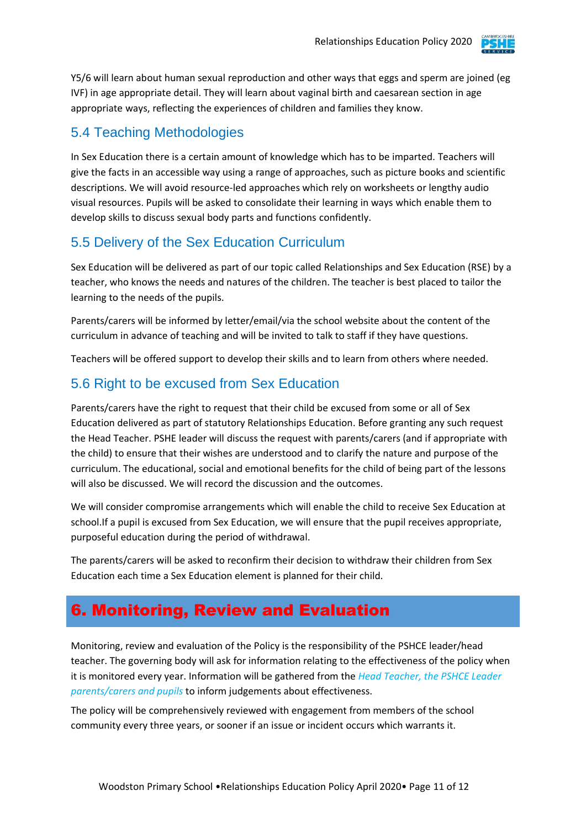

Y5/6 will learn about human sexual reproduction and other ways that eggs and sperm are joined (eg IVF) in age appropriate detail. They will learn about vaginal birth and caesarean section in age appropriate ways, reflecting the experiences of children and families they know.

#### 5.4 Teaching Methodologies

In Sex Education there is a certain amount of knowledge which has to be imparted. Teachers will give the facts in an accessible way using a range of approaches, such as picture books and scientific descriptions. We will avoid resource-led approaches which rely on worksheets or lengthy audio visual resources. Pupils will be asked to consolidate their learning in ways which enable them to develop skills to discuss sexual body parts and functions confidently.

#### 5.5 Delivery of the Sex Education Curriculum

Sex Education will be delivered as part of our topic called Relationships and Sex Education (RSE) by a teacher, who knows the needs and natures of the children. The teacher is best placed to tailor the learning to the needs of the pupils.

Parents/carers will be informed by letter/email/via the school website about the content of the curriculum in advance of teaching and will be invited to talk to staff if they have questions.

Teachers will be offered support to develop their skills and to learn from others where needed.

#### 5.6 Right to be excused from Sex Education

Parents/carers have the right to request that their child be excused from some or all of Sex Education delivered as part of statutory Relationships Education. Before granting any such request the Head Teacher. PSHE leader will discuss the request with parents/carers (and if appropriate with the child) to ensure that their wishes are understood and to clarify the nature and purpose of the curriculum. The educational, social and emotional benefits for the child of being part of the lessons will also be discussed. We will record the discussion and the outcomes.

We will consider compromise arrangements which will enable the child to receive Sex Education at school.If a pupil is excused from Sex Education, we will ensure that the pupil receives appropriate, purposeful education during the period of withdrawal.

The parents/carers will be asked to reconfirm their decision to withdraw their children from Sex Education each time a Sex Education element is planned for their child.

# 6. Monitoring, Review and Evaluation

Monitoring, review and evaluation of the Policy is the responsibility of the PSHCE leader/head teacher. The governing body will ask for information relating to the effectiveness of the policy when it is monitored every year. Information will be gathered from the *Head Teacher, the PSHCE Leader parents/carers and pupils* to inform judgements about effectiveness.

The policy will be comprehensively reviewed with engagement from members of the school community every three years, or sooner if an issue or incident occurs which warrants it.